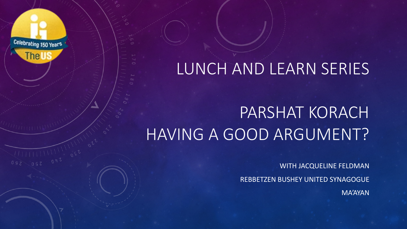## LUNCH AND LEARN SERIES

## PARSHAT KORACH HAVING A GOOD ARGUMENT?

Celebrating 150 Years

**The US** 

WITH JACQUELINE FELDMAN

REBBETZEN BUSHEY UNITED SYNAGOGUE

MA'AYAN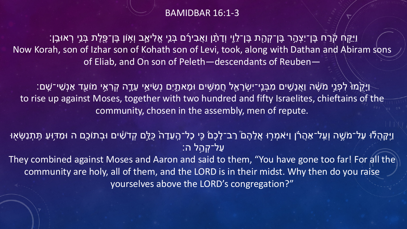#### BAMIDBAR 16:1-3

ַוַּיִּקַּח קֹׂרַח בֶּן־יִצְהָר בֶּן־קְהָת בֶּן־לֵוֶי וְדָתָ֫ן וַאֲבִירָۢם בְּנֵיְ אֱלִיאֶב וְאָוֹן בֶּן־פֶּלֶת בְּנֵי רְאוּבֵן: Now Korah, son of Izhar son of Kohath son of Levi, took, along with Dathan and Abiram sons of Eliab, and On son of Peleth—descendants of Reuben—

ַיְּקָׂמוּ לִפְנֵי מֹשֶׁה וַאֲנָשִׁים מִבְּנֵי־יִשְׂרָאֵל חֲמִשִּׁים וּמָאתֶיִם נְשִׂיאֵי עֵדֶה קְרָאֵי מוֹעֵד אַנְשִׁי־שֵׁם: to rise up against Moses, together with two hundred and fifty Israelites, chieftains of the community, chosen in the assembly, men of repute.

ַּ וַיְּקָהֲלֹּוּ עַל־מֹשֶׁה וְעַל־אַהֲרֹׂן וַיּאמְרְוּ אֲלֵהֶםׂ רַב־לָכֶםׂ כִּי כָל־הֶעֵדָהֹ כֻּלֵּם קְדֹשִׁים וּבְתוֹכֻם ה וּמַדִּוּעַ תִּתְנַשְּׂאָוּ ּעַל־קְהֵל ה:

They combined against Moses and Aaron and said to them, "You have gone too far! For all the community are holy, all of them, and the LORD is in their midst. Why then do you raise yourselves above the LORD's congregation?"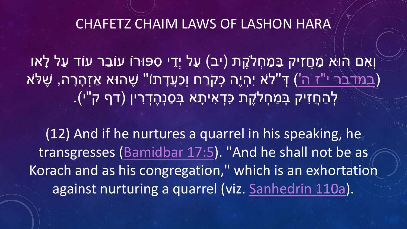### CHAFETZ CHAIM LAWS OF LASHON HARA

וְאִ ם הוּא מַ חֲ זִיק בַּ מַ חְ �קֶ ת (יב) עַ ל יְדֵ י סִ פּוּרוֹ עוֹבֵ ר עוֹד עַ ל לָ או (<u>בּמֹדבּר י"ז ה'</u>) דְּ"לֹא יִהְיֶה כְּקֹרַח וְכַעֲדָתוֹ" שֶׁהוּא אַזְהָרָה, שֶׁלֹּא ַ לְהַחֲזִיק בְּמַחְלֹקֶת כִּדְאִיתָא בְּסַנְהֶדְרִין (דף ק"י).

(12) And if he nurtures a quarrel in his speaking, he transgresses [\(Bamidbar](https://www.sefaria.org/Numbers.17.5) 17:5). "And he shall not be as Korach and as his congregation," which is an exhortation against nurturing a quarrel (viz. [Sanhedrin 110a\)](https://www.sefaria.org/Sanhedrin.110a).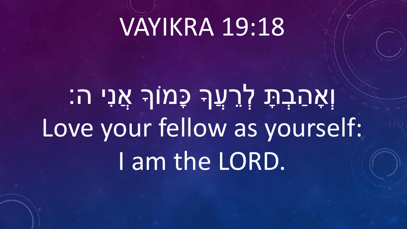# VAYIKRA 19:18

# וְאָהַבְתָּ לְרֵעֶךָ כָּמוֹךְ אֲנִי ה: Love your fellow as yourself: I am the LORD.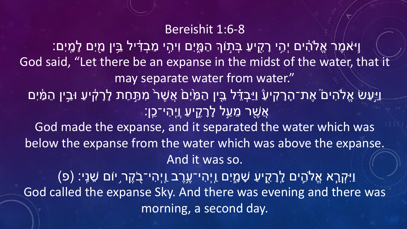#### Bereishit 1:6-8

וַיֹּ֣ אמֶ ר אֱ�הִ֔ ים יְהִ֥ י רָ קִ֖ יעַ בְּ ת֣ וֹ� הַ מָּ֑ יִם וִיהִ֣ י מַ בְ דִּ֔ יל בֵּ֥ ין מַ֖ יִם לָ מָֽ יִם׃ God said, "Let there be an expanse in the midst of the water, that it may separate water from water." ַיַּעַשׂ אֱלֹהִים ׁ אֶת־הָרָקִיעַׂ וַיַּבְדֵּׁל בֵּיִן הַמַּׂיִם אֲשֶׁרֹ מִתַּחַת לָרָקִיעַ וּבֵין הַמַּ֫יִם ֿ אֲשֶׁר מֵעַל לָרָקֵיעַ <u>ו</u>יִהִי־כֵֵן: God made the expanse, and it separated the water which was below the expanse from the water which was above the expanse. And it was so. ּוַיִּקְרָא אֶלֹהֶים לְרָקֻיעַ שָׁמָָיִם וַיְהִי־עֶרֶב וַיְהִי־בָקֶר יוֹם שֵׁנִי: (פ) [ God called the expanse Sky. And there was evening and there was morning, a second day.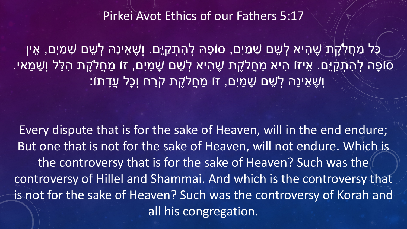Pirkei Avot Ethics of our Fathers 5:17

כָּל מַחֲלֹקֶת שֶׁהִיא לְשֵׁם שָׁמַיִם, סוֹפָהּ לְהִתְקַיֵּם. וְשֶׁאֵינָהּ לְשֵׁם שָׁמַיִם, אֵין סוֹפָהּ לְהָתְקַיֵּם. אֵיזוֹ הִיא מַחֲלֹקֶת שֶׁהִיא לְשֵׁם שָׁמַיִם, זוֹ מַחֲלֹקֶת הִלֵּל וְשַׁמַּאי. וְשֶׁאֵינָהּ לְשֶׁם שָׁמַיִם, זוֹ מַחֲלֹקֶת קֹרַח וְכָל עֲדָתוֹ:

Every dispute that is for the sake of Heaven, will in the end endure; But one that is not for the sake of Heaven, will not endure. Which is the controversy that is for the sake of Heaven? Such was the controversy of Hillel and Shammai. And which is the controversy that is not for the sake of Heaven? Such was the controversy of Korah and all his congregation.